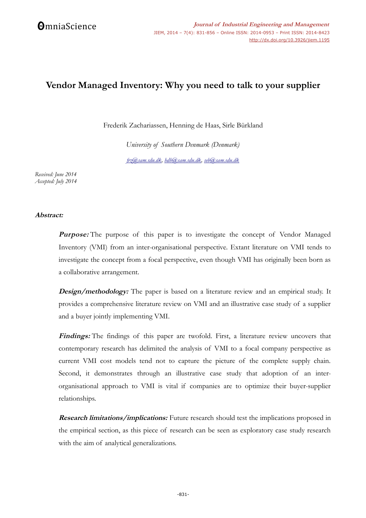# **Vendor Managed Inventory: Why you need to talk to your supplier**

Frederik Zachariassen, Henning de Haas, Sirle Bürkland

*University of Southern Denmark (Denmark) [frz@sam.sdu.dk,](mailto:frz@sam.sdu.dk) [hdh@sam.sdu.dk,](mailto:hdh@sam.sdu.dk) [seb@sam.sdu.dk](mailto:seb@sam.sdu.dk)*

*Received: June 2014 Accepted: July 2014*

## **Abstract:**

**Purpose:** The purpose of this paper is to investigate the concept of Vendor Managed Inventory (VMI) from an inter-organisational perspective. Extant literature on VMI tends to investigate the concept from a focal perspective, even though VMI has originally been born as a collaborative arrangement.

**Design/methodology:** The paper is based on a literature review and an empirical study. It provides a comprehensive literature review on VMI and an illustrative case study of a supplier and a buyer jointly implementing VMI.

**Findings:** The findings of this paper are twofold. First, a literature review uncovers that contemporary research has delimited the analysis of VMI to a focal company perspective as current VMI cost models tend not to capture the picture of the complete supply chain. Second, it demonstrates through an illustrative case study that adoption of an interorganisational approach to VMI is vital if companies are to optimize their buyer-supplier relationships.

**Research limitations/implications:** Future research should test the implications proposed in the empirical section, as this piece of research can be seen as exploratory case study research with the aim of analytical generalizations.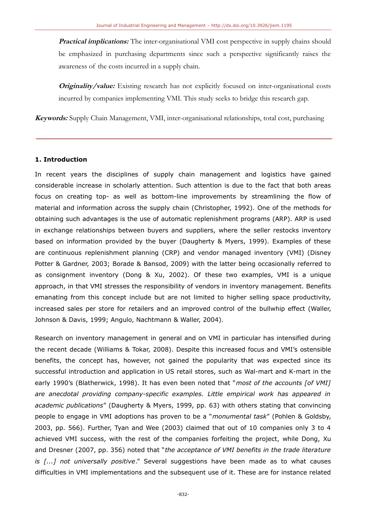**Practical implications:** The inter-organisational VMI cost perspective in supply chains should be emphasized in purchasing departments since such a perspective significantly raises the awareness of the costs incurred in a supply chain.

**Originality/value:** Existing research has not explicitly focused on inter-organisational costs incurred by companies implementing VMI. This study seeks to bridge this research gap.

**Keywords:** Supply Chain Management, VMI, inter-organisational relationships, total cost, purchasing

#### **1. Introduction**

In recent years the disciplines of supply chain management and logistics have gained considerable increase in scholarly attention. Such attention is due to the fact that both areas focus on creating top- as well as bottom-line improvements by streamlining the flow of material and information across the supply chain (Christopher, 1992). One of the methods for obtaining such advantages is the use of automatic replenishment programs (ARP). ARP is used in exchange relationships between buyers and suppliers, where the seller restocks inventory based on information provided by the buyer (Daugherty & Myers, 1999). Examples of these are continuous replenishment planning (CRP) and vendor managed inventory (VMI) (Disney Potter & Gardner, 2003; Borade & Bansod, 2009) with the latter being occasionally referred to as consignment inventory (Dong & Xu, 2002). Of these two examples, VMI is a unique approach, in that VMI stresses the responsibility of vendors in inventory management. Benefits emanating from this concept include but are not limited to higher selling space productivity, increased sales per store for retailers and an improved control of the bullwhip effect (Waller, Johnson & Davis, 1999; Angulo, Nachtmann & Waller, 2004).

Research on inventory management in general and on VMI in particular has intensified during the recent decade (Williams & Tokar, 2008). Despite this increased focus and VMI's ostensible benefits, the concept has, however, not gained the popularity that was expected since its successful introduction and application in US retail stores, such as Wal-mart and K-mart in the early 1990's (Blatherwick, 1998). It has even been noted that "*most of the accounts [of VMI] are anecdotal providing company-specific examples. Little empirical work has appeared in academic publications*" (Daugherty & Myers, 1999, pp. 63) with others stating that convincing people to engage in VMI adoptions has proven to be a "*monumental task*" (Pohlen & Goldsby, 2003, pp. 566). Further, Tyan and Wee (2003) claimed that out of 10 companies only 3 to 4 achieved VMI success, with the rest of the companies forfeiting the project, while Dong, Xu and Dresner (2007, pp. 356) noted that "*the acceptance of VMI benefits in the trade literature is [...] not universally positive*." Several suggestions have been made as to what causes difficulties in VMI implementations and the subsequent use of it. These are for instance related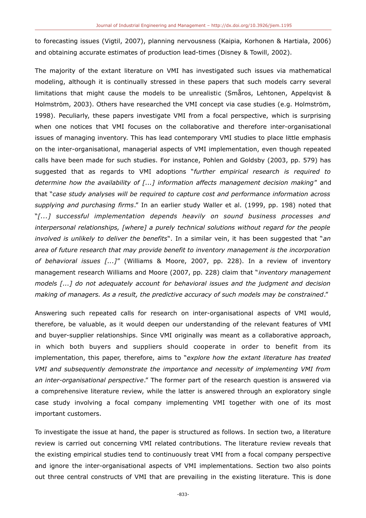to forecasting issues (Vigtil, 2007), planning nervousness (Kaipia, Korhonen & Hartiala, 2006) and obtaining accurate estimates of production lead-times (Disney & Towill, 2002).

The majority of the extant literature on VMI has investigated such issues via mathematical modeling, although it is continually stressed in these papers that such models carry several limitations that might cause the models to be unrealistic (Småros, Lehtonen, Appelqvist & Holmström, 2003). Others have researched the VMI concept via case studies (e.g. Holmström, 1998). Peculiarly, these papers investigate VMI from a focal perspective, which is surprising when one notices that VMI focuses on the collaborative and therefore inter-organisational issues of managing inventory. This has lead contemporary VMI studies to place little emphasis on the inter-organisational, managerial aspects of VMI implementation, even though repeated calls have been made for such studies. For instance, Pohlen and Goldsby (2003, pp. 579) has suggested that as regards to VMI adoptions "*further empirical research is required to determine how the availability of [...] information affects management decision making*" and that "*case study analyses will be required to capture cost and performance information across supplying and purchasing firms*." In an earlier study Waller et al. (1999, pp. 198) noted that "*[...] successful implementation depends heavily on sound business processes and interpersonal relationships, [where] a purely technical solutions without regard for the people involved is unlikely to deliver the benefits*". In a similar vein, it has been suggested that "*an area of future research that may provide benefit to inventory management is the incorporation of behavioral issues [...]*" (Williams & Moore, 2007, pp. 228). In a review of inventory management research Williams and Moore (2007, pp. 228) claim that "*inventory management models [...] do not adequately account for behavioral issues and the judgment and decision making of managers. As a result, the predictive accuracy of such models may be constrained*."

Answering such repeated calls for research on inter-organisational aspects of VMI would, therefore, be valuable, as it would deepen our understanding of the relevant features of VMI and buyer-supplier relationships. Since VMI originally was meant as a collaborative approach, in which both buyers and suppliers should cooperate in order to benefit from its implementation, this paper, therefore, aims to "*explore how the extant literature has treated VMI and subsequently demonstrate the importance and necessity of implementing VMI from an inter-organisational perspective*." The former part of the research question is answered via a comprehensive literature review, while the latter is answered through an exploratory single case study involving a focal company implementing VMI together with one of its most important customers.

To investigate the issue at hand, the paper is structured as follows. In section two, a literature review is carried out concerning VMI related contributions. The literature review reveals that the existing empirical studies tend to continuously treat VMI from a focal company perspective and ignore the inter-organisational aspects of VMI implementations. Section two also points out three central constructs of VMI that are prevailing in the existing literature. This is done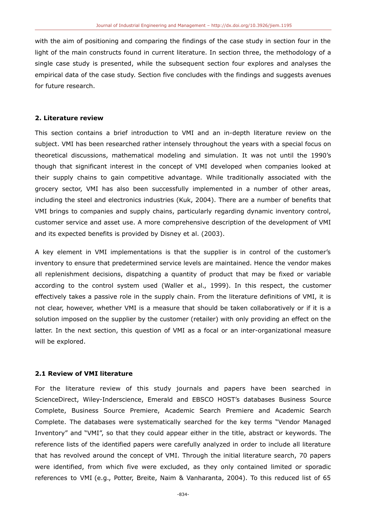with the aim of positioning and comparing the findings of the case study in section four in the light of the main constructs found in current literature. In section three, the methodology of a single case study is presented, while the subsequent section four explores and analyses the empirical data of the case study. Section five concludes with the findings and suggests avenues for future research.

## **2. Literature review**

This section contains a brief introduction to VMI and an in-depth literature review on the subject. VMI has been researched rather intensely throughout the years with a special focus on theoretical discussions, mathematical modeling and simulation. It was not until the 1990's though that significant interest in the concept of VMI developed when companies looked at their supply chains to gain competitive advantage. While traditionally associated with the grocery sector, VMI has also been successfully implemented in a number of other areas, including the steel and electronics industries (Kuk, 2004). There are a number of benefits that VMI brings to companies and supply chains, particularly regarding dynamic inventory control, customer service and asset use. A more comprehensive description of the development of VMI and its expected benefits is provided by Disney et al. (2003).

A key element in VMI implementations is that the supplier is in control of the customer's inventory to ensure that predetermined service levels are maintained. Hence the vendor makes all replenishment decisions, dispatching a quantity of product that may be fixed or variable according to the control system used (Waller et al., 1999). In this respect, the customer effectively takes a passive role in the supply chain. From the literature definitions of VMI, it is not clear, however, whether VMI is a measure that should be taken collaboratively or if it is a solution imposed on the supplier by the customer (retailer) with only providing an effect on the latter. In the next section, this question of VMI as a focal or an inter-organizational measure will be explored.

#### **2.1 Review of VMI literature**

For the literature review of this study journals and papers have been searched in ScienceDirect, Wiley-Inderscience, Emerald and EBSCO HOST's databases Business Source Complete, Business Source Premiere, Academic Search Premiere and Academic Search Complete. The databases were systematically searched for the key terms "Vendor Managed Inventory" and "VMI", so that they could appear either in the title, abstract or keywords. The reference lists of the identified papers were carefully analyzed in order to include all literature that has revolved around the concept of VMI. Through the initial literature search, 70 papers were identified, from which five were excluded, as they only contained limited or sporadic references to VMI (e.g., Potter, Breite, Naim & Vanharanta, 2004). To this reduced list of 65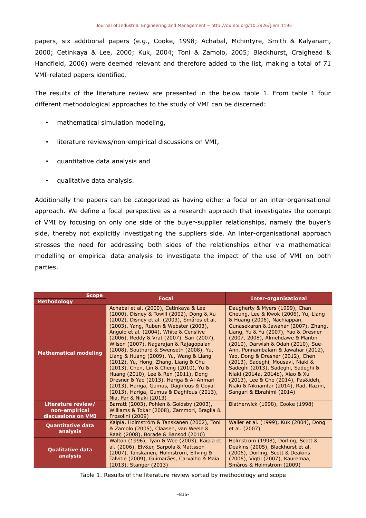papers, six additional papers (e.g., Cooke, 1998; Achabal, Mchintyre, Smith & Kalyanam, 2000; Cetinkaya & Lee, 2000; Kuk, 2004; Toni & Zamolo, 2005; Blackhurst, Craighead & Handfield, 2006) were deemed relevant and therefore added to the list, making a total of 71 VMI-related papers identified.

The results of the literature review are presented in the below table 1. From table 1 four different methodological approaches to the study of VMI can be discerned:

- mathematical simulation modeling,
- literature reviews/non-empirical discussions on VMI,
- quantitative data analysis and
- qualitative data analysis.

Additionally the papers can be categorized as having either a focal or an inter-organisational approach. We define a focal perspective as a research approach that investigates the concept of VMI by focusing on only one side of the buyer-supplier relationships, namely the buyer's side, thereby not explicitly investigating the suppliers side. An inter-organisational approach stresses the need for addressing both sides of the relationships either via mathematical modelling or empirical data analysis to investigate the impact of the use of VMI on both parties.

| <b>Scope</b>                                              | <b>Focal</b>                                                                                                                                                                                                                                                                                                                                                                                                                                                                                                                                                                                                                                                                              | <b>Inter-organisational</b>                                                                                                                                                                                                                                                                                                                                                                                                                                                                                                                                           |
|-----------------------------------------------------------|-------------------------------------------------------------------------------------------------------------------------------------------------------------------------------------------------------------------------------------------------------------------------------------------------------------------------------------------------------------------------------------------------------------------------------------------------------------------------------------------------------------------------------------------------------------------------------------------------------------------------------------------------------------------------------------------|-----------------------------------------------------------------------------------------------------------------------------------------------------------------------------------------------------------------------------------------------------------------------------------------------------------------------------------------------------------------------------------------------------------------------------------------------------------------------------------------------------------------------------------------------------------------------|
| <b>Methodology</b>                                        |                                                                                                                                                                                                                                                                                                                                                                                                                                                                                                                                                                                                                                                                                           |                                                                                                                                                                                                                                                                                                                                                                                                                                                                                                                                                                       |
| <b>Mathematical modeling</b>                              | Achabal et al. (2000), Cetinkaya & Lee<br>(2000), Disney & Towill (2002), Dong & Xu<br>(2002), Disney et al. (2003), Småros et al.<br>(2003), Yang, Ruben & Webster (2003),<br>Angulo et al. (2004), White & Censlive<br>(2006), Reddy & Vrat (2007), Sari (2007),<br>Wilson (2007), Nagarajan & Rajagopalan<br>(2008), Southard & Swenseth (2008), Yu,<br>Liang & Huang (2009), Yu, Wang & Liang<br>(2012), Yu, Hong, Zhang, Liang & Chu<br>(2013), Chen, Lin & Cheng (2010), Yu &<br>Huang (2010), Lee & Ren (2011), Dong<br>Dresner & Yao (2013), Hariga & Al-Ahmari<br>(2013), Hariga, Gumus, Daghfous & Goyal<br>(2013), Hariga, Gumus & Daghfous (2013),<br>Nia, Far & Niaki (2013) | Daugherty & Myers (1999), Chan<br>Cheung, Lee & Kwok (2006), Yu, Liang<br>& Huang (2006), Nachiappan,<br>Gunasekaran & Jawahar (2007), Zhang,<br>Liang, Yu & Yu (2007), Yao & Dresner<br>(2007, 2008), Almehdawe & Mantin<br>(2010), Darwish & Odah (2010), Sue-<br>Ann, Ponnambalam & Jawahar (2012),<br>Yao, Dong & Dresner (2012), Chen<br>(2013), Sadeghi, Mousavi, Niaki &<br>Sadeghi (2013), Sadeghi, Sadeghi &<br>Niaki (2014a, 2014b), Xiao & Xu<br>(2013), Lee & Cho (2014), Pas&ideh,<br>Niaki & Niknamfar (2014), Rad, Razmi,<br>Sangari & Ebrahimi (2014) |
| Literature review/<br>non-empirical<br>discussions on VMI | Barratt (2003), Pohlen & Goldsby (2003),<br>Williams & Tokar (2008), Zammori, Braglia &<br>Frosolini (2009)                                                                                                                                                                                                                                                                                                                                                                                                                                                                                                                                                                               | Blatherwick (1998), Cooke (1998)                                                                                                                                                                                                                                                                                                                                                                                                                                                                                                                                      |
| <b>Quantitative data</b><br>analysis                      | Kaipia, Holmström & Tanskanen (2002), Toni<br>& Zamolo (2005), Claasen, van Weele &<br>Raaij (2008), Borade & Bansod (2010)                                                                                                                                                                                                                                                                                                                                                                                                                                                                                                                                                               | Waller et al. (1999), Kuk (2004), Dong<br>et al. (2007)                                                                                                                                                                                                                                                                                                                                                                                                                                                                                                               |
| <b>Qualitative data</b><br>analysis                       | Walton (1996), Tyan & Wee (2003), Kaipia et<br>al. (2006), Elv&er, Sarpola & Mattsson<br>(2007), Tanskanen, Holmström, Elfving &<br>Talvitie (2009), Guimarães, Carvalho & Maia<br>(2013), Stanger (2013)                                                                                                                                                                                                                                                                                                                                                                                                                                                                                 | Holmström (1998), Dorling, Scott &<br>Deakins (2005), Blackhurst et al.<br>(2006), Dorling, Scott & Deakins<br>(2006), Vigtil (2007), Kauremaa,<br>Smäros & Holmström (2009)                                                                                                                                                                                                                                                                                                                                                                                          |

Table 1. Results of the literature review sorted by methodology and scope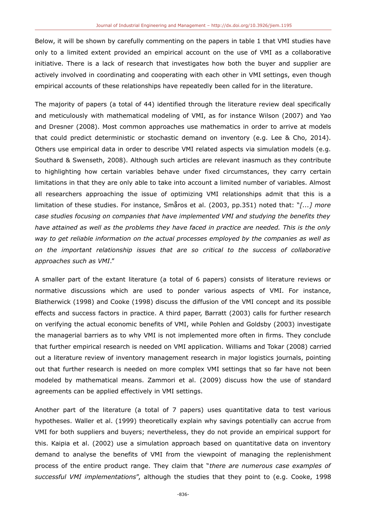Below, it will be shown by carefully commenting on the papers in table 1 that VMI studies have only to a limited extent provided an empirical account on the use of VMI as a collaborative initiative. There is a lack of research that investigates how both the buyer and supplier are actively involved in coordinating and cooperating with each other in VMI settings, even though empirical accounts of these relationships have repeatedly been called for in the literature.

The majority of papers (a total of 44) identified through the literature review deal specifically and meticulously with mathematical modeling of VMI, as for instance Wilson (2007) and Yao and Dresner (2008). Most common approaches use mathematics in order to arrive at models that could predict deterministic or stochastic demand on inventory (e.g. Lee & Cho, 2014). Others use empirical data in order to describe VMI related aspects via simulation models (e.g. Southard & Swenseth, 2008). Although such articles are relevant inasmuch as they contribute to highlighting how certain variables behave under fixed circumstances, they carry certain limitations in that they are only able to take into account a limited number of variables. Almost all researchers approaching the issue of optimizing VMI relationships admit that this is a limitation of these studies. For instance, Småros et al. (2003, pp.351) noted that: "*[...] more case studies focusing on companies that have implemented VMI and studying the benefits they have attained as well as the problems they have faced in practice are needed. This is the only way to get reliable information on the actual processes employed by the companies as well as on the important relationship issues that are so critical to the success of collaborative approaches such as VMI*."

A smaller part of the extant literature (a total of 6 papers) consists of literature reviews or normative discussions which are used to ponder various aspects of VMI. For instance, Blatherwick (1998) and Cooke (1998) discuss the diffusion of the VMI concept and its possible effects and success factors in practice. A third paper, Barratt (2003) calls for further research on verifying the actual economic benefits of VMI, while Pohlen and Goldsby (2003) investigate the managerial barriers as to why VMI is not implemented more often in firms. They conclude that further empirical research is needed on VMI application. Williams and Tokar (2008) carried out a literature review of inventory management research in major logistics journals, pointing out that further research is needed on more complex VMI settings that so far have not been modeled by mathematical means. Zammori et al. (2009) discuss how the use of standard agreements can be applied effectively in VMI settings.

Another part of the literature (a total of 7 papers) uses quantitative data to test various hypotheses. Waller et al. (1999) theoretically explain why savings potentially can accrue from VMI for both suppliers and buyers; nevertheless, they do not provide an empirical support for this. Kaipia et al. (2002) use a simulation approach based on quantitative data on inventory demand to analyse the benefits of VMI from the viewpoint of managing the replenishment process of the entire product range. They claim that "*there are numerous case examples of successful VMI implementations*", although the studies that they point to (e.g. Cooke, 1998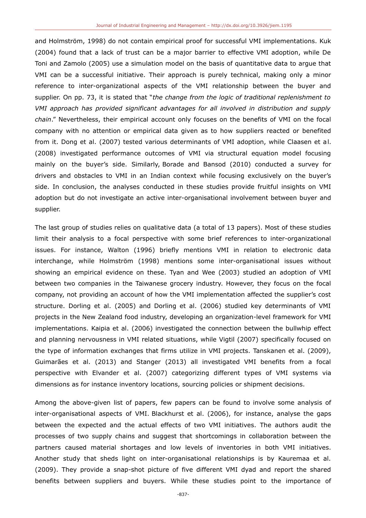and Holmström, 1998) do not contain empirical proof for successful VMI implementations. Kuk (2004) found that a lack of trust can be a major barrier to effective VMI adoption, while De Toni and Zamolo (2005) use a simulation model on the basis of quantitative data to argue that VMI can be a successful initiative. Their approach is purely technical, making only a minor reference to inter-organizational aspects of the VMI relationship between the buyer and supplier. On pp. 73, it is stated that "*the change from the logic of traditional replenishment to VMI approach has provided significant advantages for all involved in distribution and supply chain*." Nevertheless, their empirical account only focuses on the benefits of VMI on the focal company with no attention or empirical data given as to how suppliers reacted or benefited from it. Dong et al. (2007) tested various determinants of VMI adoption, while Claasen et al. (2008) investigated performance outcomes of VMI via structural equation model focusing mainly on the buyer's side. Similarly, Borade and Bansod (2010) conducted a survey for drivers and obstacles to VMI in an Indian context while focusing exclusively on the buyer's side. In conclusion, the analyses conducted in these studies provide fruitful insights on VMI adoption but do not investigate an active inter-organisational involvement between buyer and supplier.

The last group of studies relies on qualitative data (a total of 13 papers). Most of these studies limit their analysis to a focal perspective with some brief references to inter-organizational issues. For instance, Walton (1996) briefly mentions VMI in relation to electronic data interchange, while Holmström (1998) mentions some inter-organisational issues without showing an empirical evidence on these. Tyan and Wee (2003) studied an adoption of VMI between two companies in the Taiwanese grocery industry. However, they focus on the focal company, not providing an account of how the VMI implementation affected the supplier's cost structure. Dorling et al. (2005) and Dorling et al. (2006) studied key determinants of VMI projects in the New Zealand food industry, developing an organization-level framework for VMI implementations. Kaipia et al. (2006) investigated the connection between the bullwhip effect and planning nervousness in VMI related situations, while Vigtil (2007) specifically focused on the type of information exchanges that firms utilize in VMI projects. Tanskanen et al. (2009), Guimarães et al. (2013) and Stanger (2013) all investigated VMI benefits from a focal perspective with Elvander et al. (2007) categorizing different types of VMI systems via dimensions as for instance inventory locations, sourcing policies or shipment decisions.

Among the above-given list of papers, few papers can be found to involve some analysis of inter-organisational aspects of VMI. Blackhurst et al. (2006), for instance, analyse the gaps between the expected and the actual effects of two VMI initiatives. The authors audit the processes of two supply chains and suggest that shortcomings in collaboration between the partners caused material shortages and low levels of inventories in both VMI initiatives. Another study that sheds light on inter-organisational relationships is by Kauremaa et al. (2009). They provide a snap-shot picture of five different VMI dyad and report the shared benefits between suppliers and buyers. While these studies point to the importance of

-837-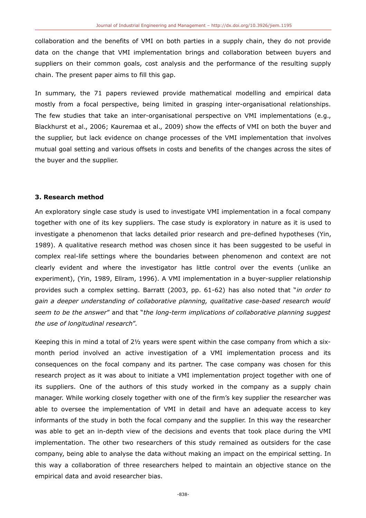collaboration and the benefits of VMI on both parties in a supply chain, they do not provide data on the change that VMI implementation brings and collaboration between buyers and suppliers on their common goals, cost analysis and the performance of the resulting supply chain. The present paper aims to fill this gap.

In summary, the 71 papers reviewed provide mathematical modelling and empirical data mostly from a focal perspective, being limited in grasping inter-organisational relationships. The few studies that take an inter-organisational perspective on VMI implementations (e.g., Blackhurst et al., 2006; Kauremaa et al., 2009) show the effects of VMI on both the buyer and the supplier, but lack evidence on change processes of the VMI implementation that involves mutual goal setting and various offsets in costs and benefits of the changes across the sites of the buyer and the supplier.

#### **3. Research method**

An exploratory single case study is used to investigate VMI implementation in a focal company together with one of its key suppliers. The case study is exploratory in nature as it is used to investigate a phenomenon that lacks detailed prior research and pre-defined hypotheses (Yin, 1989). A qualitative research method was chosen since it has been suggested to be useful in complex real-life settings where the boundaries between phenomenon and context are not clearly evident and where the investigator has little control over the events (unlike an experiment), (Yin, 1989, Ellram, 1996). A VMI implementation in a buyer-supplier relationship provides such a complex setting. Barratt (2003, pp. 61-62) has also noted that "*in order to gain a deeper understanding of collaborative planning, qualitative case-based research would seem to be the answer*" and that "*the long-term implications of collaborative planning suggest the use of longitudinal research*".

Keeping this in mind a total of 2½ years were spent within the case company from which a sixmonth period involved an active investigation of a VMI implementation process and its consequences on the focal company and its partner. The case company was chosen for this research project as it was about to initiate a VMI implementation project together with one of its suppliers. One of the authors of this study worked in the company as a supply chain manager. While working closely together with one of the firm's key supplier the researcher was able to oversee the implementation of VMI in detail and have an adequate access to key informants of the study in both the focal company and the supplier. In this way the researcher was able to get an in-depth view of the decisions and events that took place during the VMI implementation. The other two researchers of this study remained as outsiders for the case company, being able to analyse the data without making an impact on the empirical setting. In this way a collaboration of three researchers helped to maintain an objective stance on the empirical data and avoid researcher bias.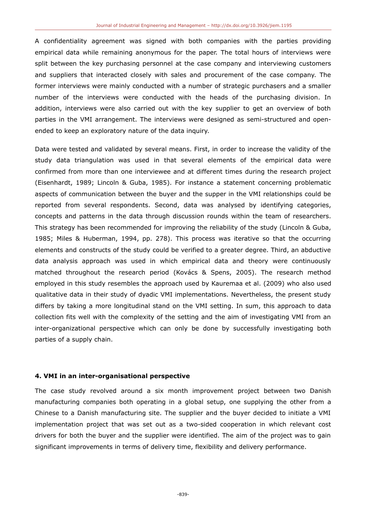A confidentiality agreement was signed with both companies with the parties providing empirical data while remaining anonymous for the paper. The total hours of interviews were split between the key purchasing personnel at the case company and interviewing customers and suppliers that interacted closely with sales and procurement of the case company. The former interviews were mainly conducted with a number of strategic purchasers and a smaller number of the interviews were conducted with the heads of the purchasing division. In addition, interviews were also carried out with the key supplier to get an overview of both parties in the VMI arrangement. The interviews were designed as semi-structured and openended to keep an exploratory nature of the data inquiry.

Data were tested and validated by several means. First, in order to increase the validity of the study data triangulation was used in that several elements of the empirical data were confirmed from more than one interviewee and at different times during the research project (Eisenhardt, 1989; Lincoln & Guba, 1985). For instance a statement concerning problematic aspects of communication between the buyer and the supper in the VMI relationships could be reported from several respondents. Second, data was analysed by identifying categories, concepts and patterns in the data through discussion rounds within the team of researchers. This strategy has been recommended for improving the reliability of the study (Lincoln & Guba, 1985; Miles & Huberman, 1994, pp. 278). This process was iterative so that the occurring elements and constructs of the study could be verified to a greater degree. Third, an abductive data analysis approach was used in which empirical data and theory were continuously matched throughout the research period (Kovács & Spens, 2005). The research method employed in this study resembles the approach used by Kauremaa et al. (2009) who also used qualitative data in their study of dyadic VMI implementations. Nevertheless, the present study differs by taking a more longitudinal stand on the VMI setting. In sum, this approach to data collection fits well with the complexity of the setting and the aim of investigating VMI from an inter-organizational perspective which can only be done by successfully investigating both parties of a supply chain.

## **4. VMI in an inter-organisational perspective**

The case study revolved around a six month improvement project between two Danish manufacturing companies both operating in a global setup, one supplying the other from a Chinese to a Danish manufacturing site. The supplier and the buyer decided to initiate a VMI implementation project that was set out as a two-sided cooperation in which relevant cost drivers for both the buyer and the supplier were identified. The aim of the project was to gain significant improvements in terms of delivery time, flexibility and delivery performance.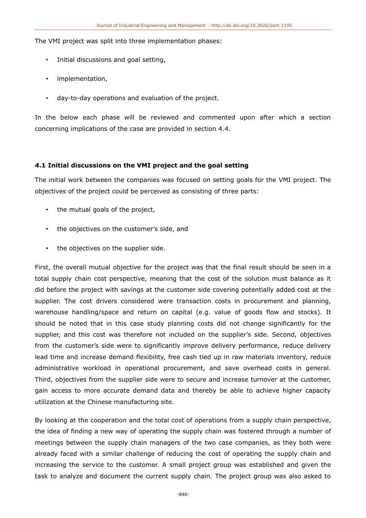The VMI project was split into three implementation phases:

- Initial discussions and goal setting,
- implementation,
- day-to-day operations and evaluation of the project.

In the below each phase will be reviewed and commented upon after which a section concerning implications of the case are provided in section 4.4.

## **4.1 Initial discussions on the VMI project and the goal setting**

The initial work between the companies was focused on setting goals for the VMI project. The objectives of the project could be perceived as consisting of three parts:

- the mutual goals of the project,
- the objectives on the customer's side, and
- the objectives on the supplier side.

First, the overall mutual objective for the project was that the final result should be seen in a total supply chain cost perspective, meaning that the cost of the solution must balance as it did before the project with savings at the customer side covering potentially added cost at the supplier. The cost drivers considered were transaction costs in procurement and planning, warehouse handling/space and return on capital (e.g. value of goods flow and stocks). It should be noted that in this case study planning costs did not change significantly for the supplier, and this cost was therefore not included on the supplier's side. Second, objectives from the customer's side were to significantly improve delivery performance, reduce delivery lead time and increase demand flexibility, free cash tied up in raw materials inventory, reduce administrative workload in operational procurement, and save overhead costs in general. Third, objectives from the supplier side were to secure and increase turnover at the customer, gain access to more accurate demand data and thereby be able to achieve higher capacity utilization at the Chinese manufacturing site.

By looking at the cooperation and the total cost of operations from a supply chain perspective, the idea of finding a new way of operating the supply chain was fostered through a number of meetings between the supply chain managers of the two case companies, as they both were already faced with a similar challenge of reducing the cost of operating the supply chain and increasing the service to the customer. A small project group was established and given the task to analyze and document the current supply chain. The project group was also asked to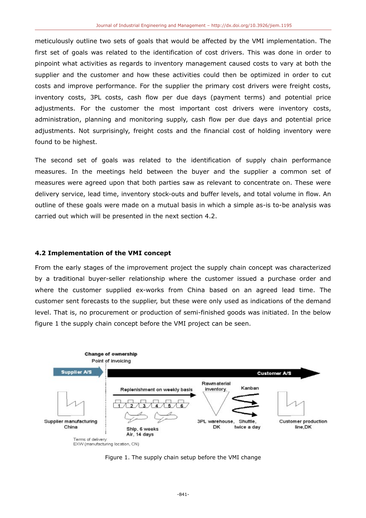meticulously outline two sets of goals that would be affected by the VMI implementation. The first set of goals was related to the identification of cost drivers. This was done in order to pinpoint what activities as regards to inventory management caused costs to vary at both the supplier and the customer and how these activities could then be optimized in order to cut costs and improve performance. For the supplier the primary cost drivers were freight costs, inventory costs, 3PL costs, cash flow per due days (payment terms) and potential price adjustments. For the customer the most important cost drivers were inventory costs, administration, planning and monitoring supply, cash flow per due days and potential price adjustments. Not surprisingly, freight costs and the financial cost of holding inventory were found to be highest.

The second set of goals was related to the identification of supply chain performance measures. In the meetings held between the buyer and the supplier a common set of measures were agreed upon that both parties saw as relevant to concentrate on. These were delivery service, lead time, inventory stock-outs and buffer levels, and total volume in flow. An outline of these goals were made on a mutual basis in which a simple as-is to-be analysis was carried out which will be presented in the next section 4.2.

#### **4.2 Implementation of the VMI concept**

From the early stages of the improvement project the supply chain concept was characterized by a traditional buyer-seller relationship where the customer issued a purchase order and where the customer supplied ex-works from China based on an agreed lead time. The customer sent forecasts to the supplier, but these were only used as indications of the demand level. That is, no procurement or production of semi-finished goods was initiated. In the below figure 1 the supply chain concept before the VMI project can be seen.



Figure 1. The supply chain setup before the VMI change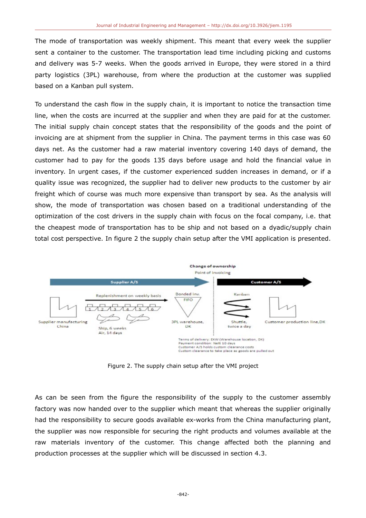The mode of transportation was weekly shipment. This meant that every week the supplier sent a container to the customer. The transportation lead time including picking and customs and delivery was 5-7 weeks. When the goods arrived in Europe, they were stored in a third party logistics (3PL) warehouse, from where the production at the customer was supplied based on a Kanban pull system.

To understand the cash flow in the supply chain, it is important to notice the transaction time line, when the costs are incurred at the supplier and when they are paid for at the customer. The initial supply chain concept states that the responsibility of the goods and the point of invoicing are at shipment from the supplier in China. The payment terms in this case was 60 days net. As the customer had a raw material inventory covering 140 days of demand, the customer had to pay for the goods 135 days before usage and hold the financial value in inventory. In urgent cases, if the customer experienced sudden increases in demand, or if a quality issue was recognized, the supplier had to deliver new products to the customer by air freight which of course was much more expensive than transport by sea. As the analysis will show, the mode of transportation was chosen based on a traditional understanding of the optimization of the cost drivers in the supply chain with focus on the focal company, i.e. that the cheapest mode of transportation has to be ship and not based on a dyadic/supply chain total cost perspective. In figure 2 the supply chain setup after the VMI application is presented.



Figure 2. The supply chain setup after the VMI project

As can be seen from the figure the responsibility of the supply to the customer assembly factory was now handed over to the supplier which meant that whereas the supplier originally had the responsibility to secure goods available ex-works from the China manufacturing plant, the supplier was now responsible for securing the right products and volumes available at the raw materials inventory of the customer. This change affected both the planning and production processes at the supplier which will be discussed in section 4.3.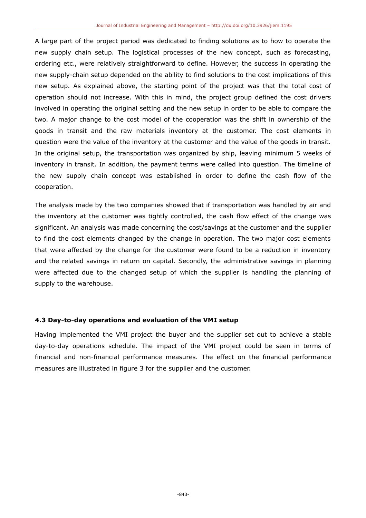A large part of the project period was dedicated to finding solutions as to how to operate the new supply chain setup. The logistical processes of the new concept, such as forecasting, ordering etc., were relatively straightforward to define. However, the success in operating the new supply-chain setup depended on the ability to find solutions to the cost implications of this new setup. As explained above, the starting point of the project was that the total cost of operation should not increase. With this in mind, the project group defined the cost drivers involved in operating the original setting and the new setup in order to be able to compare the two. A major change to the cost model of the cooperation was the shift in ownership of the goods in transit and the raw materials inventory at the customer. The cost elements in question were the value of the inventory at the customer and the value of the goods in transit. In the original setup, the transportation was organized by ship, leaving minimum 5 weeks of inventory in transit. In addition, the payment terms were called into question. The timeline of the new supply chain concept was established in order to define the cash flow of the cooperation.

The analysis made by the two companies showed that if transportation was handled by air and the inventory at the customer was tightly controlled, the cash flow effect of the change was significant. An analysis was made concerning the cost/savings at the customer and the supplier to find the cost elements changed by the change in operation. The two major cost elements that were affected by the change for the customer were found to be a reduction in inventory and the related savings in return on capital. Secondly, the administrative savings in planning were affected due to the changed setup of which the supplier is handling the planning of supply to the warehouse.

## **4.3 Day-to-day operations and evaluation of the VMI setup**

Having implemented the VMI project the buyer and the supplier set out to achieve a stable day-to-day operations schedule. The impact of the VMI project could be seen in terms of financial and non-financial performance measures. The effect on the financial performance measures are illustrated in figure 3 for the supplier and the customer.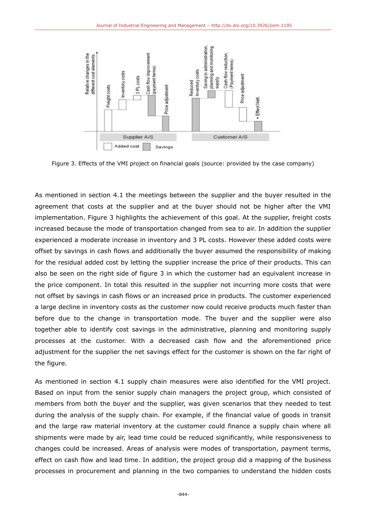

Figure 3. Effects of the VMI project on financial goals (source: provided by the case company)

As mentioned in section 4.1 the meetings between the supplier and the buyer resulted in the agreement that costs at the supplier and at the buyer should not be higher after the VMI implementation. Figure 3 highlights the achievement of this goal. At the supplier, freight costs increased because the mode of transportation changed from sea to air. In addition the supplier experienced a moderate increase in inventory and 3 PL costs. However these added costs were offset by savings in cash flows and additionally the buyer assumed the responsibility of making for the residual added cost by letting the supplier increase the price of their products. This can also be seen on the right side of figure 3 in which the customer had an equivalent increase in the price component. In total this resulted in the supplier not incurring more costs that were not offset by savings in cash flows or an increased price in products. The customer experienced a large decline in inventory costs as the customer now could receive products much faster than before due to the change in transportation mode. The buyer and the supplier were also together able to identify cost savings in the administrative, planning and monitoring supply processes at the customer. With a decreased cash flow and the aforementioned price adjustment for the supplier the net savings effect for the customer is shown on the far right of the figure.

As mentioned in section 4.1 supply chain measures were also identified for the VMI project. Based on input from the senior supply chain managers the project group, which consisted of members from both the buyer and the supplier, was given scenarios that they needed to test during the analysis of the supply chain. For example, if the financial value of goods in transit and the large raw material inventory at the customer could finance a supply chain where all shipments were made by air, lead time could be reduced significantly, while responsiveness to changes could be increased. Areas of analysis were modes of transportation, payment terms, effect on cash flow and lead time. In addition, the project group did a mapping of the business processes in procurement and planning in the two companies to understand the hidden costs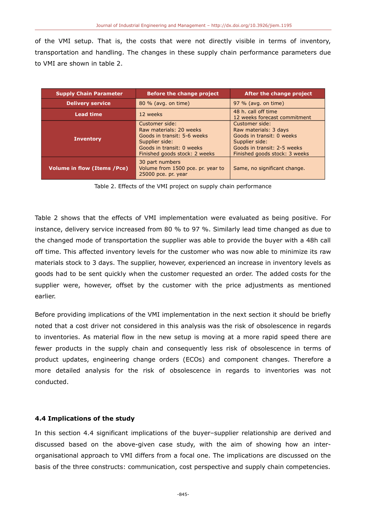of the VMI setup. That is, the costs that were not directly visible in terms of inventory, transportation and handling. The changes in these supply chain performance parameters due to VMI are shown in table 2.

| <b>Supply Chain Parameter</b>      | Before the change project                                                                                                                                | After the change project                                                                                                                               |
|------------------------------------|----------------------------------------------------------------------------------------------------------------------------------------------------------|--------------------------------------------------------------------------------------------------------------------------------------------------------|
| <b>Delivery service</b>            | 80 % (avg. on time)                                                                                                                                      | 97 % (avg. on time)                                                                                                                                    |
| <b>Lead time</b>                   | 12 weeks                                                                                                                                                 | 48 h. call off time<br>12 weeks forecast commitment                                                                                                    |
| <b>Inventory</b>                   | Customer side:<br>Raw materials: 20 weeks<br>Goods in transit: 5-6 weeks<br>Supplier side:<br>Goods in transit: 0 weeks<br>Finished goods stock: 2 weeks | Customer side:<br>Raw materials: 3 days<br>Goods in transit: 0 weeks<br>Supplier side:<br>Goods in transit: 2-5 weeks<br>Finished goods stock: 3 weeks |
| <b>Volume in flow (Items /Pce)</b> | 30 part numbers<br>Volume from 1500 pce. pr. year to<br>$25000$ pce. pr. year                                                                            | Same, no significant change.                                                                                                                           |

Table 2. Effects of the VMI project on supply chain performance

Table 2 shows that the effects of VMI implementation were evaluated as being positive. For instance, delivery service increased from 80 % to 97 %. Similarly lead time changed as due to the changed mode of transportation the supplier was able to provide the buyer with a 48h call off time. This affected inventory levels for the customer who was now able to minimize its raw materials stock to 3 days. The supplier, however, experienced an increase in inventory levels as goods had to be sent quickly when the customer requested an order. The added costs for the supplier were, however, offset by the customer with the price adjustments as mentioned earlier.

Before providing implications of the VMI implementation in the next section it should be briefly noted that a cost driver not considered in this analysis was the risk of obsolescence in regards to inventories. As material flow in the new setup is moving at a more rapid speed there are fewer products in the supply chain and consequently less risk of obsolescence in terms of product updates, engineering change orders (ECOs) and component changes. Therefore a more detailed analysis for the risk of obsolescence in regards to inventories was not conducted.

## **4.4 Implications of the study**

In this section 4.4 significant implications of the buyer–supplier relationship are derived and discussed based on the above-given case study, with the aim of showing how an interorganisational approach to VMI differs from a focal one. The implications are discussed on the basis of the three constructs: communication, cost perspective and supply chain competencies.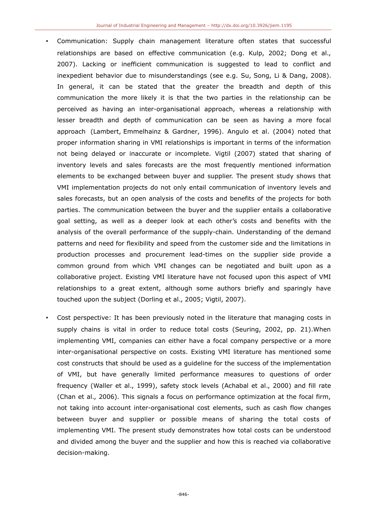- Communication: Supply chain management literature often states that successful relationships are based on effective communication (e.g. Kulp, 2002; Dong et al., 2007). Lacking or inefficient communication is suggested to lead to conflict and inexpedient behavior due to misunderstandings (see e.g. Su, Song, Li & Dang, 2008). In general, it can be stated that the greater the breadth and depth of this communication the more likely it is that the two parties in the relationship can be perceived as having an inter-organisational approach, whereas a relationship with lesser breadth and depth of communication can be seen as having a more focal approach (Lambert, Emmelhainz & Gardner, 1996). Angulo et al. (2004) noted that proper information sharing in VMI relationships is important in terms of the information not being delayed or inaccurate or incomplete. Vigtil (2007) stated that sharing of inventory levels and sales forecasts are the most frequently mentioned information elements to be exchanged between buyer and supplier. The present study shows that VMI implementation projects do not only entail communication of inventory levels and sales forecasts, but an open analysis of the costs and benefits of the projects for both parties. The communication between the buyer and the supplier entails a collaborative goal setting, as well as a deeper look at each other's costs and benefits with the analysis of the overall performance of the supply-chain. Understanding of the demand patterns and need for flexibility and speed from the customer side and the limitations in production processes and procurement lead-times on the supplier side provide a common ground from which VMI changes can be negotiated and built upon as a collaborative project. Existing VMI literature have not focused upon this aspect of VMI relationships to a great extent, although some authors briefly and sparingly have touched upon the subject (Dorling et al., 2005; Vigtil, 2007).
- Cost perspective: It has been previously noted in the literature that managing costs in supply chains is vital in order to reduce total costs (Seuring, 2002, pp. 21).When implementing VMI, companies can either have a focal company perspective or a more inter-organisational perspective on costs. Existing VMI literature has mentioned some cost constructs that should be used as a guideline for the success of the implementation of VMI, but have generally limited performance measures to questions of order frequency (Waller et al., 1999), safety stock levels (Achabal et al., 2000) and fill rate (Chan et al., 2006). This signals a focus on performance optimization at the focal firm, not taking into account inter-organisational cost elements, such as cash flow changes between buyer and supplier or possible means of sharing the total costs of implementing VMI. The present study demonstrates how total costs can be understood and divided among the buyer and the supplier and how this is reached via collaborative decision-making.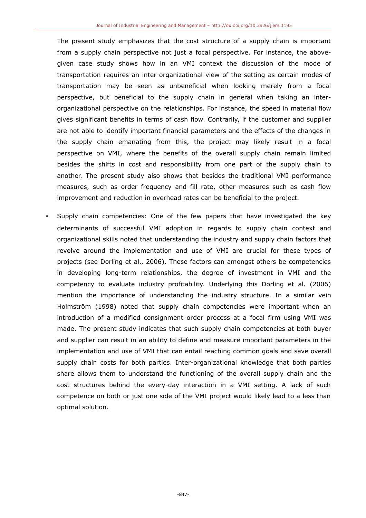The present study emphasizes that the cost structure of a supply chain is important from a supply chain perspective not just a focal perspective. For instance, the abovegiven case study shows how in an VMI context the discussion of the mode of transportation requires an inter-organizational view of the setting as certain modes of transportation may be seen as unbeneficial when looking merely from a focal perspective, but beneficial to the supply chain in general when taking an interorganizational perspective on the relationships. For instance, the speed in material flow gives significant benefits in terms of cash flow. Contrarily, if the customer and supplier are not able to identify important financial parameters and the effects of the changes in the supply chain emanating from this, the project may likely result in a focal perspective on VMI, where the benefits of the overall supply chain remain limited besides the shifts in cost and responsibility from one part of the supply chain to another. The present study also shows that besides the traditional VMI performance measures, such as order frequency and fill rate, other measures such as cash flow improvement and reduction in overhead rates can be beneficial to the project.

• Supply chain competencies: One of the few papers that have investigated the key determinants of successful VMI adoption in regards to supply chain context and organizational skills noted that understanding the industry and supply chain factors that revolve around the implementation and use of VMI are crucial for these types of projects (see Dorling et al., 2006). These factors can amongst others be competencies in developing long-term relationships, the degree of investment in VMI and the competency to evaluate industry profitability. Underlying this Dorling et al. (2006) mention the importance of understanding the industry structure. In a similar vein Holmström (1998) noted that supply chain competencies were important when an introduction of a modified consignment order process at a focal firm using VMI was made. The present study indicates that such supply chain competencies at both buyer and supplier can result in an ability to define and measure important parameters in the implementation and use of VMI that can entail reaching common goals and save overall supply chain costs for both parties. Inter-organizational knowledge that both parties share allows them to understand the functioning of the overall supply chain and the cost structures behind the every-day interaction in a VMI setting. A lack of such competence on both or just one side of the VMI project would likely lead to a less than optimal solution.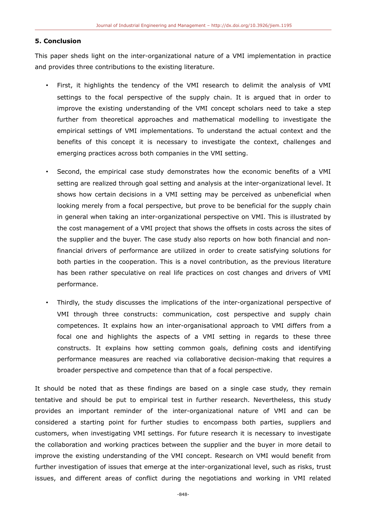#### **5. Conclusion**

This paper sheds light on the inter-organizational nature of a VMI implementation in practice and provides three contributions to the existing literature.

- First, it highlights the tendency of the VMI research to delimit the analysis of VMI settings to the focal perspective of the supply chain. It is argued that in order to improve the existing understanding of the VMI concept scholars need to take a step further from theoretical approaches and mathematical modelling to investigate the empirical settings of VMI implementations. To understand the actual context and the benefits of this concept it is necessary to investigate the context, challenges and emerging practices across both companies in the VMI setting.
- Second, the empirical case study demonstrates how the economic benefits of a VMI setting are realized through goal setting and analysis at the inter-organizational level. It shows how certain decisions in a VMI setting may be perceived as unbeneficial when looking merely from a focal perspective, but prove to be beneficial for the supply chain in general when taking an inter-organizational perspective on VMI. This is illustrated by the cost management of a VMI project that shows the offsets in costs across the sites of the supplier and the buyer. The case study also reports on how both financial and nonfinancial drivers of performance are utilized in order to create satisfying solutions for both parties in the cooperation. This is a novel contribution, as the previous literature has been rather speculative on real life practices on cost changes and drivers of VMI performance.
- Thirdly, the study discusses the implications of the inter-organizational perspective of VMI through three constructs: communication, cost perspective and supply chain competences. It explains how an inter-organisational approach to VMI differs from a focal one and highlights the aspects of a VMI setting in regards to these three constructs. It explains how setting common goals, defining costs and identifying performance measures are reached via collaborative decision-making that requires a broader perspective and competence than that of a focal perspective.

It should be noted that as these findings are based on a single case study, they remain tentative and should be put to empirical test in further research. Nevertheless, this study provides an important reminder of the inter-organizational nature of VMI and can be considered a starting point for further studies to encompass both parties, suppliers and customers, when investigating VMI settings. For future research it is necessary to investigate the collaboration and working practices between the supplier and the buyer in more detail to improve the existing understanding of the VMI concept. Research on VMI would benefit from further investigation of issues that emerge at the inter-organizational level, such as risks, trust issues, and different areas of conflict during the negotiations and working in VMI related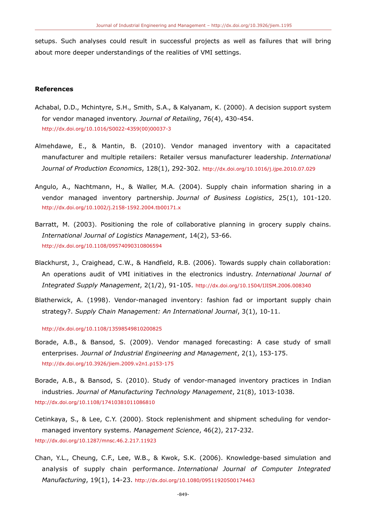setups. Such analyses could result in successful projects as well as failures that will bring about more deeper understandings of the realities of VMI settings.

#### **References**

- Achabal, D.D., Mchintyre, S.H., Smith, S.A., & Kalyanam, K. (2000). A decision support system for vendor managed inventory. *Journal of Retailing*, 76(4), 430-454. [http://dx.doi.org/10.1016/S0022-4359\(00\)00037-3](http://dx.doi.org/10.1016/S0022-4359(00)00037-3)
- Almehdawe, E., & Mantin, B. (2010). Vendor managed inventory with a capacitated manufacturer and multiple retailers: Retailer versus manufacturer leadership. *International Journal of Production Economics*, 128(1), 292-302. <http://dx.doi.org/10.1016/j.ijpe.2010.07.029>
- Angulo, A., Nachtmann, H., & Waller, M.A. (2004). Supply chain information sharing in a vendor managed inventory partnership. *Journal of Business Logistics*, 25(1), 101-120. <http://dx.doi.org/10.1002/j.2158-1592.2004.tb00171.x>
- Barratt, M. (2003). Positioning the role of collaborative planning in grocery supply chains. *International Journal of Logistics Management*, 14(2), 53-66. <http://dx.doi.org/10.1108/09574090310806594>
- Blackhurst, J., Craighead, C.W., & Handfield, R.B. (2006). Towards supply chain collaboration: An operations audit of VMI initiatives in the electronics industry. *International Journal of Integrated Supply Management*, 2(1/2), 91-105. <http://dx.doi.org/10.1504/IJISM.2006.008340>
- Blatherwick, A. (1998). Vendor-managed inventory: fashion fad or important supply chain strategy?. *Supply Chain Management: An International Journal*, 3(1), 10-11.

<http://dx.doi.org/10.1108/13598549810200825>

- Borade, A.B., & Bansod, S. (2009). Vendor managed forecasting: A case study of small enterprises. *Journal of Industrial Engineering and Management*, 2(1), 153-175. <http://dx.doi.org/10.3926/jiem.2009.v2n1.p153-175>
- Borade, A.B., & Bansod, S. (2010). Study of vendor-managed inventory practices in Indian industries. *Journal of Manufacturing Technology Management*, 21(8), 1013-1038. <http://dx.doi.org/10.1108/17410381011086810>
- Cetinkaya, S., & Lee, C.Y. (2000). Stock replenishment and shipment scheduling for vendormanaged inventory systems. *Management Science*, 46(2), 217-232. <http://dx.doi.org/10.1287/mnsc.46.2.217.11923>
- Chan, Y.L., Cheung, C.F., Lee, W.B., & Kwok, S.K. (2006). Knowledge-based simulation and analysis of supply chain performance. *International Journal of Computer Integrated Manufacturing*, 19(1), 14-23. <http://dx.doi.org/10.1080/09511920500174463>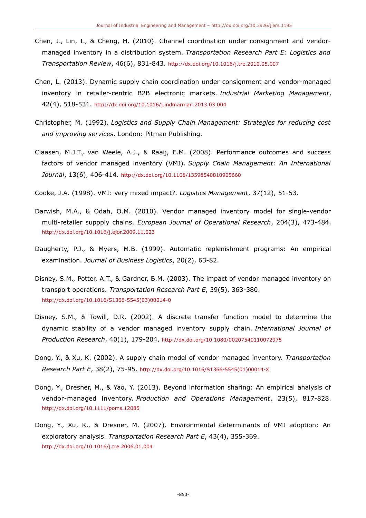- Chen, J., Lin, I., & Cheng, H. (2010). Channel coordination under consignment and vendormanaged inventory in a distribution system. *Transportation Research Part E: Logistics and Transportation Review*, 46(6), 831-843. <http://dx.doi.org/10.1016/j.tre.2010.05.007>
- Chen, L. (2013). Dynamic supply chain coordination under consignment and vendor-managed inventory in retailer-centric B2B electronic markets. *Industrial Marketing Management*, 42(4), 518-531. <http://dx.doi.org/10.1016/j.indmarman.2013.03.004>
- Christopher, M. (1992). *Logistics and Supply Chain Management: Strategies for reducing cost and improving services*. London: Pitman Publishing.
- Claasen, M.J.T., van Weele, A.J., & Raaij, E.M. (2008). Performance outcomes and success factors of vendor managed inventory (VMI). *Supply Chain Management: An International Journal*, 13(6), 406-414. <http://dx.doi.org/10.1108/13598540810905660>
- Cooke, J.A. (1998). VMI: very mixed impact?. *Logistics Management*, 37(12), 51-53.
- Darwish, M.A., & Odah, O.M. (2010). Vendor managed inventory model for single-vendor multi-retailer suppply chains. *European Journal of Operational Research*, 204(3), 473-484. <http://dx.doi.org/10.1016/j.ejor.2009.11.023>
- Daugherty, P.J., & Myers, M.B. (1999). Automatic replenishment programs: An empirical examination. *Journal of Business Logistics*, 20(2), 63-82.
- Disney, S.M., Potter, A.T., & Gardner, B.M. (2003). The impact of vendor managed inventory on transport operations. *Transportation Research Part E*, 39(5), 363-380. [http://dx.doi.org/10.1016/S1366-5545\(03\)00014-0](http://dx.doi.org/10.1016/S1366-5545(03)00014-0)
- Disney, S.M., & Towill, D.R. (2002). A discrete transfer function model to determine the dynamic stability of a vendor managed inventory supply chain. *International Journal of Production Research*, 40(1), 179-204. <http://dx.doi.org/10.1080/00207540110072975>
- Dong, Y., & Xu, K. (2002). A supply chain model of vendor managed inventory. *Transportation Research Part E*, 38(2), 75-95. [http://dx.doi.org/10.1016/S1366-5545\(01\)00014-X](http://dx.doi.org/10.1016/S1366-5545(01)00014-X)
- Dong, Y., Dresner, M., & Yao, Y. (2013). Beyond information sharing: An empirical analysis of vendor-managed inventory. *Production and Operations Management*, 23(5), 817-828. <http://dx.doi.org/10.1111/poms.12085>
- Dong, Y., Xu, K., & Dresner, M. (2007). Environmental determinants of VMI adoption: An exploratory analysis. *Transportation Research Part E*, 43(4), 355-369. <http://dx.doi.org/10.1016/j.tre.2006.01.004>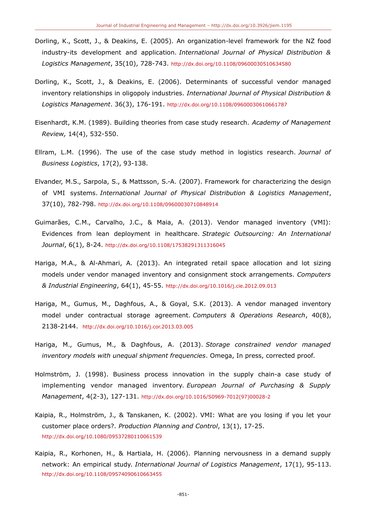- Dorling, K., Scott, J., & Deakins, E. (2005). An organization-level framework for the NZ food industry-its development and application. *International Journal of Physical Distribution & Logistics Management*, 35(10), 728-743. <http://dx.doi.org/10.1108/09600030510634580>
- Dorling, K., Scott, J., & Deakins, E. (2006). Determinants of successful vendor managed inventory relationships in oligopoly industries. *International Journal of Physical Distribution & Logistics Management*. 36(3), 176-191. <http://dx.doi.org/10.1108/09600030610661787>
- Eisenhardt, K.M. (1989). Building theories from case study research. *Academy of Management Review,* 14(4), 532-550.
- Ellram, L.M. (1996). The use of the case study method in logistics research. *Journal of Business Logistics*, 17(2), 93-138.
- Elvander, M.S., Sarpola, S., & Mattsson, S.-A. (2007). Framework for characterizing the design of VMI systems. *International Journal of Physical Distribution & Logistics Management*, 37(10), 782-798. <http://dx.doi.org/10.1108/09600030710848914>
- Guimarães, C.M., Carvalho, J.C., & Maia, A. (2013). Vendor managed inventory (VMI): Evidences from lean deployment in healthcare. *Strategic Outsourcing: An International Journal*, 6(1), 8-24. <http://dx.doi.org/10.1108/17538291311316045>
- Hariga, M.A., & Al-Ahmari, A. (2013). An integrated retail space allocation and lot sizing models under vendor managed inventory and consignment stock arrangements. *Computers & Industrial Engineering*, 64(1), 45-55. <http://dx.doi.org/10.1016/j.cie.2012.09.013>
- Hariga, M., Gumus, M., Daghfous, A., & Goyal, S.K. (2013). A vendor managed inventory model under contractual storage agreement. *Computers & Operations Research*, 40(8), 2138-2144. <http://dx.doi.org/10.1016/j.cor.2013.03.005>
- Hariga, M., Gumus, M., & Daghfous, A. (2013). *Storage constrained vendor managed inventory models with unequal shipment frequencies*. Omega, In press, corrected proof.
- Holmström, J. (1998). Business process innovation in the supply chain-a case study of implementing vendor managed inventory. *European Journal of Purchasing & Supply Management*, 4(2-3), 127-131. [http://dx.doi.org/10.1016/S0969-7012\(97\)00028-2](http://dx.doi.org/10.1016/S0969-7012(97)00028-2)
- Kaipia, R., Holmström, J., & Tanskanen, K. (2002). VMI: What are you losing if you let your customer place orders?. *Production Planning and Control*, 13(1), 17-25. <http://dx.doi.org/10.1080/09537280110061539>
- Kaipia, R., Korhonen, H., & Hartiala, H. (2006). Planning nervousness in a demand supply network: An empirical study. *International Journal of Logistics Management*, 17(1), 95-113. <http://dx.doi.org/10.1108/09574090610663455>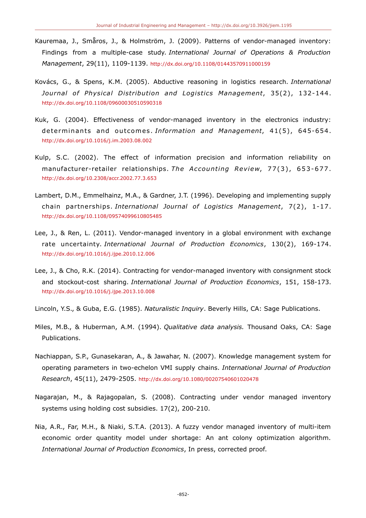- Kauremaa, J., Småros, J., & Holmström, J. (2009). Patterns of vendor-managed inventory: Findings from a multiple-case study. *International Journal of Operations & Production Management*, 29(11), 1109-1139. <http://dx.doi.org/10.1108/01443570911000159>
- Kovács, G., & Spens, K.M. (2005). Abductive reasoning in logistics research. *International* Journal of Physical Distribution and Logistics Management, 35(2), 132-144. <http://dx.doi.org/10.1108/09600030510590318>
- Kuk, G. (2004). Effectiveness of vendor-managed inventory in the electronics industry: determinants and outcomes. Information and Management, 41(5), 645-654. <http://dx.doi.org/10.1016/j.im.2003.08.002>
- Kulp, S.C. (2002). The effect of information precision and information reliability on manufacturer-retailer relationships. The Accounting Review, 77(3), 653-677. <http://dx.doi.org/10.2308/accr.2002.77.3.653>
- Lambert, D.M., Emmelhainz, M.A., & Gardner, J.T. (1996). Developing and implementing supply chain partnerships. *International Journal of Logistics Management*, 7(2), 1-17. <http://dx.doi.org/10.1108/09574099610805485>
- Lee, J., & Ren, L. (2011). Vendor-managed inventory in a global environment with exchange rate uncertainty. *International Journal of Production Economics*, 130(2), 169-174. <http://dx.doi.org/10.1016/j.ijpe.2010.12.006>
- Lee, J., & Cho, R.K. (2014). Contracting for vendor-managed inventory with consignment stock and stockout-cost sharing. *International Journal of Production Economics*, 151, 158-173. <http://dx.doi.org/10.1016/j.ijpe.2013.10.008>
- Lincoln, Y.S., & Guba, E.G. (1985). *Naturalistic Inquiry*. Beverly Hills, CA: Sage Publications.
- Miles, M.B., & Huberman, A.M. (1994). *Qualitative data analysis.* Thousand Oaks, CA: Sage Publications.
- Nachiappan, S.P., Gunasekaran, A., & Jawahar, N. (2007). Knowledge management system for operating parameters in two-echelon VMI supply chains. *International Journal of Production Research*, 45(11), 2479-2505. <http://dx.doi.org/10.1080/00207540601020478>
- Nagarajan, M., & Rajagopalan, S. (2008). Contracting under vendor managed inventory systems using holding cost subsidies. 17(2), 200-210.
- Nia, A.R., Far, M.H., & Niaki, S.T.A. (2013). A fuzzy vendor managed inventory of multi-item economic order quantity model under shortage: An ant colony optimization algorithm. *International Journal of Production Economics*, In press, corrected proof.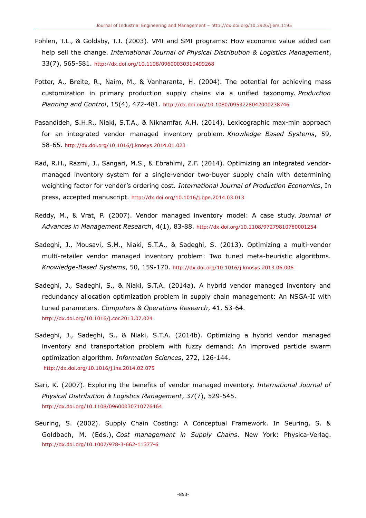- Pohlen, T.L., & Goldsby, T.J. (2003). VMI and SMI programs: How economic value added can help sell the change. *International Journal of Physical Distribution & Logistics Management*, 33(7), 565-581. <http://dx.doi.org/10.1108/09600030310499268>
- Potter, A., Breite, R., Naim, M., & Vanharanta, H. (2004). The potential for achieving mass customization in primary production supply chains via a unified taxonomy. *Production Planning and Control*, 15(4), 472-481. <http://dx.doi.org/10.1080/0953728042000238746>
- Pasandideh, S.H.R., Niaki, S.T.A., & Niknamfar, A.H. (2014). Lexicographic max-min approach for an integrated vendor managed inventory problem. *Knowledge Based Systems*, 59, 58-65. <http://dx.doi.org/10.1016/j.knosys.2014.01.023>
- Rad, R.H., Razmi, J., Sangari, M.S., & Ebrahimi, Z.F. (2014). Optimizing an integrated vendormanaged inventory system for a single-vendor two-buyer supply chain with determining weighting factor for vendor's ordering cost. *International Journal of Production Economics*, In press, accepted manuscript. <http://dx.doi.org/10.1016/j.ijpe.2014.03.013>
- Reddy, M., & Vrat, P. (2007). Vendor managed inventory model: A case study. *Journal of Advances in Management Research*, 4(1), 83-88. <http://dx.doi.org/10.1108/97279810780001254>
- Sadeghi, J., Mousavi, S.M., Niaki, S.T.A., & Sadeghi, S. (2013). Optimizing a multi-vendor multi-retailer vendor managed inventory problem: Two tuned meta-heuristic algorithms. *Knowledge-Based Systems*, 50, 159-170. <http://dx.doi.org/10.1016/j.knosys.2013.06.006>
- Sadeghi, J., Sadeghi, S., & Niaki, S.T.A. (2014a). A hybrid vendor managed inventory and redundancy allocation optimization problem in supply chain management: An NSGA-II with tuned parameters. *Computers & Operations Research*, 41, 53-64. <http://dx.doi.org/10.1016/j.cor.2013.07.024>
- Sadeghi, J., Sadeghi, S., & Niaki, S.T.A. (2014b). Optimizing a hybrid vendor managed inventory and transportation problem with fuzzy demand: An improved particle swarm optimization algorithm. *Information Sciences*, 272, 126-144. <http://dx.doi.org/10.1016/j.ins.2014.02.075>
- Sari, K. (2007). Exploring the benefits of vendor managed inventory. *International Journal of Physical Distribution & Logistics Management*, 37(7), 529-545. <http://dx.doi.org/10.1108/09600030710776464>
- Seuring, S. (2002). Supply Chain Costing: A Conceptual Framework. In Seuring, S. & Goldbach, M. (Eds.), *Cost management in Supply Chains*. New York: Physica-Verlag. <http://dx.doi.org/10.1007/978-3-662-11377-6>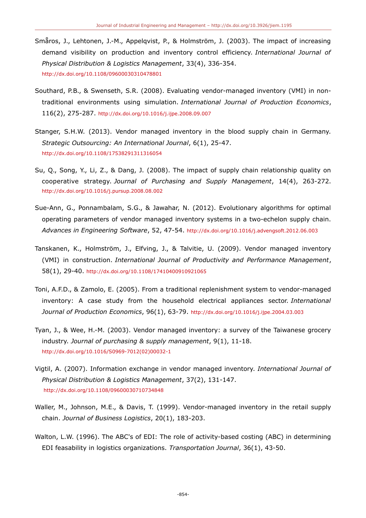- Småros, J., Lehtonen, J.-M., Appelqvist, P., & Holmström, J. (2003). The impact of increasing demand visibility on production and inventory control efficiency. *International Journal of Physical Distribution & Logistics Management*, 33(4), 336-354. <http://dx.doi.org/10.1108/09600030310478801>
- Southard, P.B., & Swenseth, S.R. (2008). Evaluating vendor-managed inventory (VMI) in nontraditional environments using simulation. *International Journal of Production Economics*, 116(2), 275-287. <http://dx.doi.org/10.1016/j.ijpe.2008.09.007>
- Stanger, S.H.W. (2013). Vendor managed inventory in the blood supply chain in Germany. *Strategic Outsourcing: An International Journal*, 6(1), 25-47. <http://dx.doi.org/10.1108/17538291311316054>
- Su, Q., Song, Y., Li, Z., & Dang, J. (2008). The impact of supply chain relationship quality on cooperative strategy. *Journal of Purchasing and Supply Management*, 14(4), 263-272. <http://dx.doi.org/10.1016/j.pursup.2008.08.002>
- Sue-Ann, G., Ponnambalam, S.G., & Jawahar, N. (2012). Evolutionary algorithms for optimal operating parameters of vendor managed inventory systems in a two-echelon supply chain. *Advances in Engineering Software*, 52, 47-54. <http://dx.doi.org/10.1016/j.advengsoft.2012.06.003>
- Tanskanen, K., Holmström, J., Elfving, J., & Talvitie, U. (2009). Vendor managed inventory (VMI) in construction. *International Journal of Productivity and Performance Management*, 58(1), 29-40. <http://dx.doi.org/10.1108/17410400910921065>
- Toni, A.F.D., & Zamolo, E. (2005). From a traditional replenishment system to vendor-managed inventory: A case study from the household electrical appliances sector. *International Journal of Production Economics*, 96(1), 63-79. <http://dx.doi.org/10.1016/j.ijpe.2004.03.003>
- Tyan, J., & Wee, H.-M. (2003). Vendor managed inventory: a survey of the Taiwanese grocery industry. *Journal of purchasing & supply management*, 9(1), 11-18. [http://dx.doi.org/10.1016/S0969-7012\(02\)00032-1](http://dx.doi.org/10.1016/S0969-7012(02)00032-1)
- Vigtil, A. (2007). Information exchange in vendor managed inventory. *International Journal of Physical Distribution & Logistics Management*, 37(2), 131-147. <http://dx.doi.org/10.1108/09600030710734848>
- Waller, M., Johnson, M.E., & Davis, T. (1999). Vendor-managed inventory in the retail supply chain. *Journal of Business Logistics*, 20(1), 183-203.
- Walton, L.W. (1996). The ABC's of EDI: The role of activity-based costing (ABC) in determining EDI feasability in logistics organizations. *Transportation Journal*, 36(1), 43-50.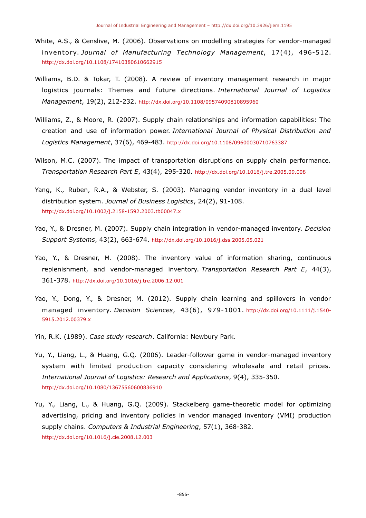- White, A.S., & Censlive, M. (2006). Observations on modelling strategies for vendor-managed inven to ry. *Journal of Manufacturing Technology Management*, 17(4), 496-512. <http://dx.doi.org/10.1108/17410380610662915>
- Williams, B.D. & Tokar, T. (2008). A review of inventory management research in major logistics journals: Themes and future directions. *International Journal of Logistics Management*, 19(2), 212-232. <http://dx.doi.org/10.1108/09574090810895960>
- Williams, Z., & Moore, R. (2007). Supply chain relationships and information capabilities: The creation and use of information power. *International Journal of Physical Distribution and Logistics Management*, 37(6), 469-483. <http://dx.doi.org/10.1108/09600030710763387>
- Wilson, M.C. (2007). The impact of transportation disruptions on supply chain performance. *Transportation Research Part E*, 43(4), 295-320. <http://dx.doi.org/10.1016/j.tre.2005.09.008>
- Yang, K., Ruben, R.A., & Webster, S. (2003). Managing vendor inventory in a dual level distribution system. *Journal of Business Logistics*, 24(2), 91-108. <http://dx.doi.org/10.1002/j.2158-1592.2003.tb00047.x>
- Yao, Y., & Dresner, M. (2007). Supply chain integration in vendor-managed inventory. *Decision Support Systems*, 43(2), 663-674. <http://dx.doi.org/10.1016/j.dss.2005.05.021>
- Yao, Y., & Dresner, M. (2008). The inventory value of information sharing, continuous replenishment, and vendor-managed inventory. *Transportation Research Part E*, 44(3), 361-378. <http://dx.doi.org/10.1016/j.tre.2006.12.001>
- Yao, Y., Dong, Y., & Dresner, M. (2012). Supply chain learning and spillovers in vendor managed inventory. *Decision Sciences*, 43(6), 979-1001. [http://dx.doi.org/10.1111/j.1540-](http://dx.doi.org/10.1111/j.1540-5915.2012.00379.x) [5915.2012.00379.x](http://dx.doi.org/10.1111/j.1540-5915.2012.00379.x)
- Yin, R.K. (1989). *Case study research*. California: Newbury Park.
- Yu, Y., Liang, L., & Huang, G.Q. (2006). Leader-follower game in vendor-managed inventory system with limited production capacity considering wholesale and retail prices. *International Journal of Logistics: Research and Applications*, 9(4), 335-350. <http://dx.doi.org/10.1080/13675560600836910>
- Yu, Y., Liang, L., & Huang, G.Q. (2009). Stackelberg game-theoretic model for optimizing advertising, pricing and inventory policies in vendor managed inventory (VMI) production supply chains. *Computers & Industrial Engineering*, 57(1), 368-382. <http://dx.doi.org/10.1016/j.cie.2008.12.003>